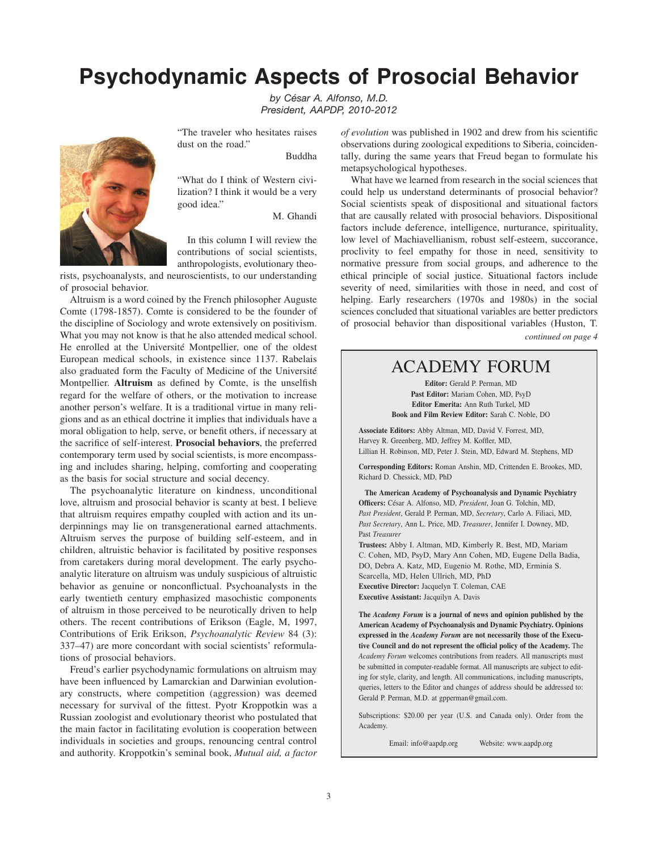## **Psychodynamic Aspects of Prosocial Behavior**

*by César A. Alfonso, M.D. President, AAPDP, 2010-2012*



Buddha

"What do I think of Western civilization? I think it would be a very good idea."

"The traveler who hesitates raises

dust on the road."

M. Ghandi

In this column I will review the contributions of social scientists, anthropologists, evolutionary theo-

rists, psychoanalysts, and neuroscientists, to our understanding of prosocial behavior.

Altruism is a word coined by the French philosopher Auguste Comte (1798-1857). Comte is considered to be the founder of the discipline of Sociology and wrote extensively on positivism. What you may not know is that he also attended medical school. He enrolled at the Université Montpellier, one of the oldest European medical schools, in existence since 1137. Rabelais also graduated form the Faculty of Medicine of the Université Montpellier. **Altruism** as defined by Comte, is the unselfish regard for the welfare of others, or the motivation to increase another person's welfare. It is a traditional virtue in many religions and as an ethical doctrine it implies that individuals have a moral obligation to help, serve, or benefit others, if necessary at the sacrifice of self-interest. **Prosocial behaviors**, the preferred contemporary term used by social scientists, is more encompassing and includes sharing, helping, comforting and cooperating as the basis for social structure and social decency.

The psychoanalytic literature on kindness, unconditional love, altruism and prosocial behavior is scanty at best. I believe that altruism requires empathy coupled with action and its underpinnings may lie on transgenerational earned attachments. Altruism serves the purpose of building self-esteem, and in children, altruistic behavior is facilitated by positive responses from caretakers during moral development. The early psychoanalytic literature on altruism was unduly suspicious of altruistic behavior as genuine or nonconflictual. Psychoanalysts in the early twentieth century emphasized masochistic components of altruism in those perceived to be neurotically driven to help others. The recent contributions of Erikson (Eagle, M, 1997, Contributions of Erik Erikson, *Psychoanalytic Review* 84 (3): 337–47) are more concordant with social scientists' reformulations of prosocial behaviors.

Freud's earlier psychodynamic formulations on altruism may have been influenced by Lamarckian and Darwinian evolutionary constructs, where competition (aggression) was deemed necessary for survival of the fittest. Pyotr Kroppotkin was a Russian zoologist and evolutionary theorist who postulated that the main factor in facilitating evolution is cooperation between individuals in societies and groups, renouncing central control and authority. Kroppotkin's seminal book, *Mutual aid, a factor*  *of evolution* was published in 1902 and drew from his scientific observations during zoological expeditions to Siberia, coincidentally, during the same years that Freud began to formulate his metapsychological hypotheses.

*continued on page 4* What have we learned from research in the social sciences that could help us understand determinants of prosocial behavior? Social scientists speak of dispositional and situational factors that are causally related with prosocial behaviors. Dispositional factors include deference, intelligence, nurturance, spirituality, low level of Machiavellianism, robust self-esteem, succorance, proclivity to feel empathy for those in need, sensitivity to normative pressure from social groups, and adherence to the ethical principle of social justice. Situational factors include severity of need, similarities with those in need, and cost of helping. Early researchers (1970s and 1980s) in the social sciences concluded that situational variables are better predictors of prosocial behavior than dispositional variables (Huston, T.

### ACADEMY FORUM

**Editor:** Gerald P. Perman, MD **Past Editor:** Mariam Cohen, MD, PsyD **Editor Emerita:** Ann Ruth Turkel, MD **Book and Film Review Editor:** Sarah C. Noble, DO

**Associate Editors:** Abby Altman, MD, David V. Forrest, MD, Harvey R. Greenberg, MD, Jeffrey M. Koffler, MD, Lillian H. Robinson, MD, Peter J. Stein, MD, Edward M. Stephens, MD

**Corresponding Editors:** Roman Anshin, MD, Crittenden E. Brookes, MD, Richard D. Chessick, MD, PhD

**The American Academy of Psychoanalysis and Dynamic Psychiatry Officers:** César A. Alfonso, MD, *President*, Joan G. Tolchin, MD, *Past President*, Gerald P. Perman, MD, *Secretary*, Carlo A. Filiaci, MD, *Past Secretary*, Ann L. Price, MD, *Treasurer*, Jennifer I. Downey, MD, Past *Treasurer* **Trustees:** Abby I. Altman, MD, Kimberly R. Best, MD, Mariam

C. Cohen, MD, PsyD, Mary Ann Cohen, MD, Eugene Della Badia, DO, Debra A. Katz, MD, Eugenio M. Rothe, MD, Erminia S. Scarcella, MD, Helen Ullrich, MD, PhD **Executive Director:** Jacquelyn T. Coleman, CAE **Executive Assistant:** Jacquilyn A. Davis

**The** *Academy Forum* **is a journal of news and opinion published by the American Academy of Psychoanalysis and Dynamic Psychiatry. Opinions expressed in the** *Academy Forum* **are not necessarily those of the Executive Council and do not represent the official policy of the Academy.** The *Academy Forum* welcomes contributions from readers. All manuscripts must be submitted in computer-readable format. All manuscripts are subject to editing for style, clarity, and length. All communications, including manuscripts, queries, letters to the Editor and changes of address should be addressed to: Gerald P. Perman, M.D. at gpperman@gmail.com.

Subscriptions: \$20.00 per year (U.S. and Canada only). Order from the Academy.

Email: info@aapdp.org Website: www.aapdp.org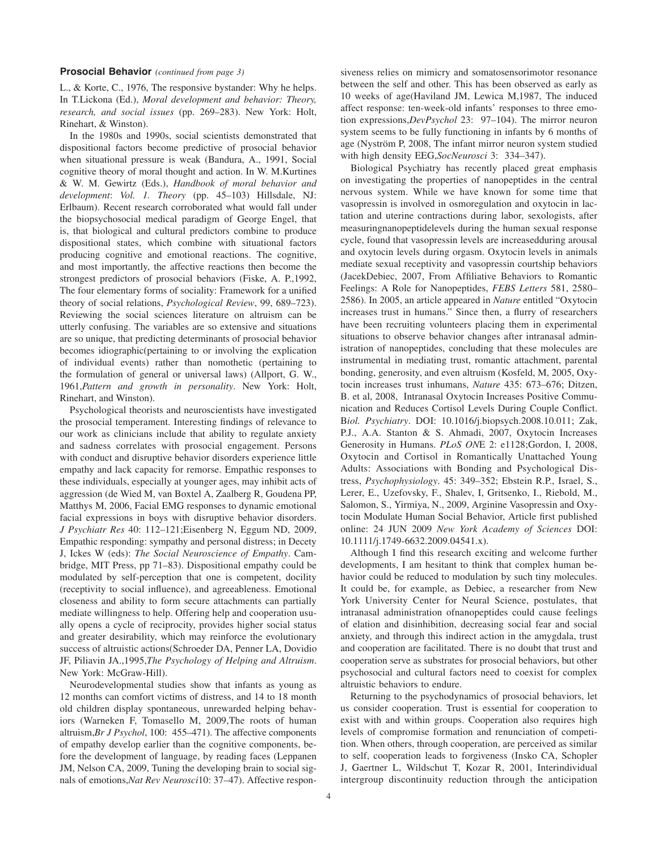#### **Prosocial Behavior** *(continued from page 3)*

L., & Korte, C., 1976, The responsive bystander: Why he helps. In T.Lickona (Ed.), *Moral development and behavior: Theory, research, and social issues* (pp. 269–283). New York: Holt, Rinehart, & Winston).

In the 1980s and 1990s, social scientists demonstrated that dispositional factors become predictive of prosocial behavior when situational pressure is weak (Bandura, A., 1991, Social cognitive theory of moral thought and action. In W. M.Kurtines & W. M. Gewirtz (Eds.), *Handbook of moral behavior and development*: *Vol. 1. Theory* (pp. 45–103) Hillsdale, NJ: Erlbaum). Recent research corroborated what would fall under the biopsychosocial medical paradigm of George Engel, that is, that biological and cultural predictors combine to produce dispositional states, which combine with situational factors producing cognitive and emotional reactions. The cognitive, and most importantly, the affective reactions then become the strongest predictors of prosocial behaviors (Fiske, A. P.,1992, The four elementary forms of sociality: Framework for a unified theory of social relations, *Psychological Review*, 99, 689–723). Reviewing the social sciences literature on altruism can be utterly confusing. The variables are so extensive and situations are so unique, that predicting determinants of prosocial behavior becomes idiographic(pertaining to or involving the explication of individual events) rather than nomothetic (pertaining to the formulation of general or universal laws) (Allport, G. W., 1961,*Pattern and growth in personality*. New York: Holt, Rinehart, and Winston).

Psychological theorists and neuroscientists have investigated the prosocial temperament. Interesting findings of relevance to our work as clinicians include that ability to regulate anxiety and sadness correlates with prosocial engagement. Persons with conduct and disruptive behavior disorders experience little empathy and lack capacity for remorse. Empathic responses to these individuals, especially at younger ages, may inhibit acts of aggression (de Wied M, van Boxtel A, Zaalberg R, Goudena PP, Matthys M, 2006, Facial EMG responses to dynamic emotional facial expressions in boys with disruptive behavior disorders. *J Psychiatr Res* 40: 112–121;Eisenberg N, Eggum ND, 2009, Empathic responding: sympathy and personal distress; in Decety J, Ickes W (eds): *The Social Neuroscience of Empathy*. Cambridge, MIT Press, pp 71–83). Dispositional empathy could be modulated by self-perception that one is competent, docility (receptivity to social influence), and agreeableness. Emotional closeness and ability to form secure attachments can partially mediate willingness to help. Offering help and cooperation usually opens a cycle of reciprocity, provides higher social status and greater desirability, which may reinforce the evolutionary success of altruistic actions(Schroeder DA, Penner LA, Dovidio JF, Piliavin JA.,1995,*The Psychology of Helping and Altruism*. New York: McGraw-Hill).

Neurodevelopmental studies show that infants as young as 12 months can comfort victims of distress, and 14 to 18 month old children display spontaneous, unrewarded helping behaviors (Warneken F, Tomasello M, 2009,The roots of human altruism,*Br J Psychol*, 100: 455–471). The affective components of empathy develop earlier than the cognitive components, before the development of language, by reading faces (Leppanen JM, Nelson CA, 2009, Tuning the developing brain to social signals of emotions,*Nat Rev Neurosci*10: 37–47). Affective respon-

siveness relies on mimicry and somatosensorimotor resonance between the self and other. This has been observed as early as 10 weeks of age(Haviland JM, Lewica M,1987, The induced affect response: ten-week-old infants' responses to three emotion expressions,*DevPsychol* 23: 97–104). The mirror neuron system seems to be fully functioning in infants by 6 months of age (Nyström P, 2008, The infant mirror neuron system studied with high density EEG,*SocNeurosci* 3: 334–347).

Biological Psychiatry has recently placed great emphasis on investigating the properties of nanopeptides in the central nervous system. While we have known for some time that vasopressin is involved in osmoregulation and oxytocin in lactation and uterine contractions during labor, sexologists, after measuringnanopeptidelevels during the human sexual response cycle, found that vasopressin levels are increasedduring arousal and oxytocin levels during orgasm. Oxytocin levels in animals mediate sexual receptivity and vasopressin courtship behaviors (JacekDebiec, 2007, From Affiliative Behaviors to Romantic Feelings: A Role for Nanopeptides, *FEBS Letters* 581, 2580– 2586). In 2005, an article appeared in *Nature* entitled "Oxytocin increases trust in humans." Since then, a flurry of researchers have been recruiting volunteers placing them in experimental situations to observe behavior changes after intranasal administration of nanopeptides, concluding that these molecules are instrumental in mediating trust, romantic attachment, parental bonding, generosity, and even altruism (Kosfeld, M, 2005, Oxytocin increases trust inhumans, *Nature* 435: 673–676; Ditzen, B. et al, 2008, Intranasal Oxytocin Increases Positive Communication and Reduces Cortisol Levels During Couple Conflict. B*iol. Psychiatry*. DOI: 10.1016/j.biopsych.2008.10.011; Zak, P.J., A.A. Stanton & S. Ahmadi, 2007, Oxytocin Increases Generosity in Humans. *PLoS ON*E 2: e1128;Gordon, I, 2008, Oxytocin and Cortisol in Romantically Unattached Young Adults: Associations with Bonding and Psychological Distress, *Psychophysiology*. 45: 349–352; Ebstein R.P., Israel, S., Lerer, E., Uzefovsky, F., Shalev, I, Gritsenko, I., Riebold, M., Salomon, S., Yirmiya, N., 2009, Arginine Vasopressin and Oxytocin Modulate Human Social Behavior, Article first published online: 24 JUN 2009 *New York Academy of Sciences* DOI: 10.1111/j.1749-6632.2009.04541.x).

Although I find this research exciting and welcome further developments, I am hesitant to think that complex human behavior could be reduced to modulation by such tiny molecules. It could be, for example, as Debiec, a researcher from New York University Center for Neural Science, postulates, that intranasal administration ofnanopeptides could cause feelings of elation and disinhibition, decreasing social fear and social anxiety, and through this indirect action in the amygdala, trust and cooperation are facilitated. There is no doubt that trust and cooperation serve as substrates for prosocial behaviors, but other psychosocial and cultural factors need to coexist for complex altruistic behaviors to endure.

Returning to the psychodynamics of prosocial behaviors, let us consider cooperation. Trust is essential for cooperation to exist with and within groups. Cooperation also requires high levels of compromise formation and renunciation of competition. When others, through cooperation, are perceived as similar to self, cooperation leads to forgiveness (Insko CA, Schopler J, Gaertner L, Wildschut T, Kozar R, 2001, Interindividual intergroup discontinuity reduction through the anticipation